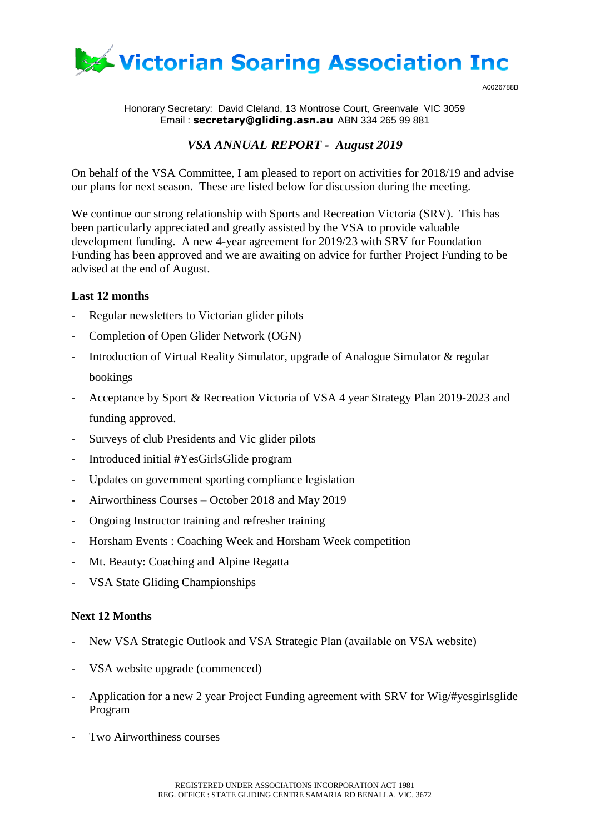

A0026788B

Honorary Secretary: David Cleland, 13 Montrose Court, Greenvale VIC 3059 Email : **[secretary@gliding.asn.au](mailto:secretary@gliding.asn.au)** ABN 334 265 99 881

## *VSA ANNUAL REPORT - August 2019*

On behalf of the VSA Committee, I am pleased to report on activities for 2018/19 and advise our plans for next season. These are listed below for discussion during the meeting.

We continue our strong relationship with Sports and Recreation Victoria (SRV). This has been particularly appreciated and greatly assisted by the VSA to provide valuable development funding. A new 4-year agreement for 2019/23 with SRV for Foundation Funding has been approved and we are awaiting on advice for further Project Funding to be advised at the end of August.

## **Last 12 months**

- Regular newsletters to Victorian glider pilots
- Completion of Open Glider Network (OGN)
- Introduction of Virtual Reality Simulator, upgrade of Analogue Simulator & regular bookings
- Acceptance by Sport & Recreation Victoria of VSA 4 year Strategy Plan 2019-2023 and funding approved.
- Surveys of club Presidents and Vic glider pilots
- Introduced initial #YesGirlsGlide program
- Updates on government sporting compliance legislation
- Airworthiness Courses October 2018 and May 2019
- Ongoing Instructor training and refresher training
- Horsham Events : Coaching Week and Horsham Week competition
- Mt. Beauty: Coaching and Alpine Regatta
- VSA State Gliding Championships

## **Next 12 Months**

- New VSA Strategic Outlook and VSA Strategic Plan (available on VSA website)
- VSA website upgrade (commenced)
- Application for a new 2 year Project Funding agreement with SRV for Wig/#yesgirlsglide Program
- Two Airworthiness courses